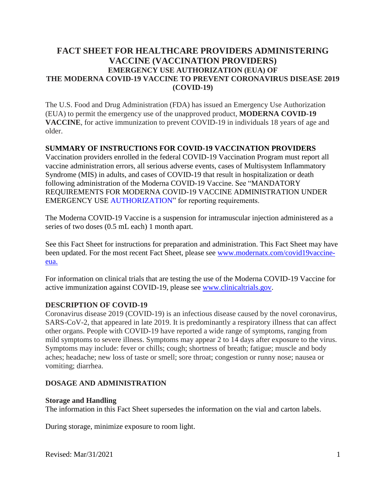# **FACT SHEET FOR HEALTHCARE PROVIDERS ADMINISTERING VACCINE (VACCINATION PROVIDERS) EMERGENCY USE AUTHORIZATION (EUA) OF THE MODERNA COVID-19 VACCINE TO PREVENT CORONAVIRUS DISEASE 2019 (COVID-19)**

The U.S. Food and Drug Administration (FDA) has issued an Emergency Use Authorization (EUA) to permit the emergency use of the unapproved product, **MODERNA COVID-19 VACCINE**, for active immunization to prevent COVID-19 in individuals 18 years of age and older.

### **SUMMARY OF INSTRUCTIONS FOR COVID-19 VACCINATION PROVIDERS**

Vaccination providers enrolled in the federal COVID-19 Vaccination Program must report all vaccine administration errors, all serious adverse events, cases of Multisystem Inflammatory Syndrome (MIS) in adults, and cases of COVID-19 that result in hospitalization or death following administration of the Moderna COVID-19 Vaccine. See "MANDATORY REQUIREMENTS FOR MODERNA COVID-19 VACCINE ADMINISTRATION UNDER EMERGENCY USE [AUTHORIZATION](#page-4-0)" for reporting requirements.

The Moderna COVID-19 Vaccine is a suspension for intramuscular injection administered as a series of two doses (0.5 mL each) 1 month apart.

See this Fact Sheet for instructions for preparation and administration. This Fact Sheet may have been updated. For the most recent Fact Sheet, please see www.modernatx.com/covid19vaccineeua.

For information on clinical trials that are testing the use of the Moderna COVID-19 Vaccine for active immunization against COVID-19, please see www.clinicaltrials.gov.

### **DESCRIPTION OF COVID-19**

Coronavirus disease 2019 (COVID-19) is an infectious disease caused by the novel coronavirus, SARS-CoV-2, that appeared in late 2019. It is predominantly a respiratory illness that can affect other organs. People with COVID-19 have reported a wide range of symptoms, ranging from mild symptoms to severe illness. Symptoms may appear 2 to 14 days after exposure to the virus. Symptoms may include: fever or chills; cough; shortness of breath; fatigue; muscle and body aches; headache; new loss of taste or smell; sore throat; congestion or runny nose; nausea or vomiting; diarrhea.

## **DOSAGE AND ADMINISTRATION**

### **Storage and Handling**

The information in this Fact Sheet supersedes the information on the vial and carton labels.

During storage, minimize exposure to room light.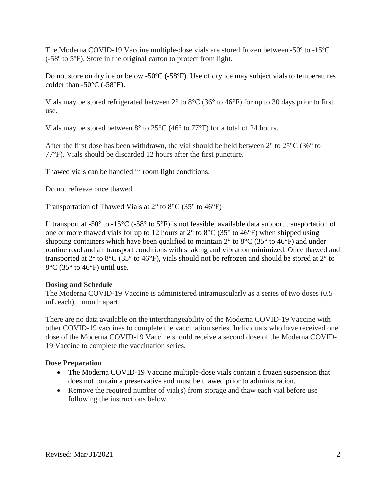The Moderna COVID-19 Vaccine multiple-dose vials are stored frozen between -50º to -15ºC (-58º to 5ºF). Store in the original carton to protect from light.

Do not store on dry ice or below -50°C (-58°F). Use of dry ice may subject vials to temperatures colder than  $-50^{\circ}$ C ( $-58^{\circ}$ F).

Vials may be stored refrigerated between 2° to 8°C (36° to 46°F) for up to 30 days prior to first use.

Vials may be stored between 8° to 25°C (46° to 77°F) for a total of 24 hours.

After the first dose has been withdrawn, the vial should be held between  $2^{\circ}$  to  $25^{\circ}$ C (36 $^{\circ}$  to 77°F). Vials should be discarded 12 hours after the first puncture.

Thawed vials can be handled in room light conditions.

Do not refreeze once thawed.

## Transportation of Thawed Vials at 2° to 8°C (35° to 46°F)

If transport at -50 $^{\circ}$  to -15 $^{\circ}$ C (-58 $^{\circ}$  to 5 $^{\circ}$ F) is not feasible, available data support transportation of one or more thawed vials for up to 12 hours at  $2^{\circ}$  to  $8^{\circ}$ C (35° to 46°F) when shipped using shipping containers which have been qualified to maintain  $2^{\circ}$  to  $8^{\circ}$ C (35° to 46°F) and under routine road and air transport conditions with shaking and vibration minimized. Once thawed and transported at  $2^{\circ}$  to  $8^{\circ}C$  (35° to 46°F), vials should not be refrozen and should be stored at  $2^{\circ}$  to 8°C (35° to 46°F) until use.

## **Dosing and Schedule**

The Moderna COVID-19 Vaccine is administered intramuscularly as a series of two doses (0.5 mL each) 1 month apart.

There are no data available on the interchangeability of the Moderna COVID-19 Vaccine with other COVID-19 vaccines to complete the vaccination series. Individuals who have received one dose of the Moderna COVID-19 Vaccine should receive a second dose of the Moderna COVID-19 Vaccine to complete the vaccination series.

## **Dose Preparation**

- The Moderna COVID-19 Vaccine multiple-dose vials contain a frozen suspension that does not contain a preservative and must be thawed prior to administration.
- Remove the required number of vial(s) from storage and thaw each vial before use following the instructions below.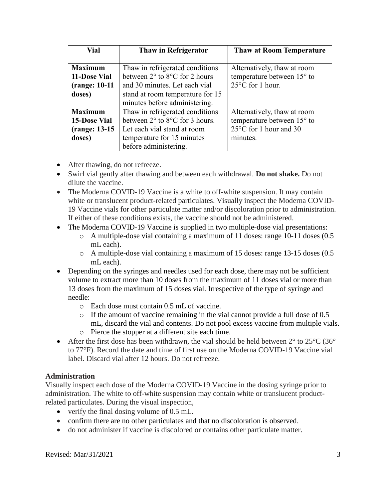| Vial                                          | Thaw in Refrigerator                              | <b>Thaw at Room Temperature</b> |
|-----------------------------------------------|---------------------------------------------------|---------------------------------|
|                                               |                                                   |                                 |
| <b>Maximum</b>                                | Thaw in refrigerated conditions                   | Alternatively, thaw at room     |
| 11-Dose Vial                                  | between $2^{\circ}$ to $8^{\circ}$ C for 2 hours  | temperature between 15° to      |
| (range: 10-11)                                | and 30 minutes. Let each vial                     | $25^{\circ}$ C for 1 hour.      |
| doses)                                        | stand at room temperature for 15                  |                                 |
|                                               | minutes before administering.                     |                                 |
| <b>Maximum</b>                                | Thaw in refrigerated conditions                   | Alternatively, thaw at room     |
| <b>15-Dose Vial</b>                           | between $2^{\circ}$ to $8^{\circ}$ C for 3 hours. | temperature between 15° to      |
| Let each vial stand at room<br>(range: 13-15) |                                                   | 25°C for 1 hour and 30          |
| doses)                                        | temperature for 15 minutes                        | minutes.                        |
|                                               | before administering.                             |                                 |

- After thawing, do not refreeze.
- Swirl vial gently after thawing and between each withdrawal. **Do not shake.** Do not dilute the vaccine.
- The Moderna COVID-19 Vaccine is a white to off-white suspension. It may contain white or translucent product-related particulates. Visually inspect the Moderna COVID-19 Vaccine vials for other particulate matter and/or discoloration prior to administration. If either of these conditions exists, the vaccine should not be administered.
- The Moderna COVID-19 Vaccine is supplied in two multiple-dose vial presentations:
	- o A multiple-dose vial containing a maximum of 11 doses: range 10-11 doses (0.5 mL each).
	- $\circ$  A multiple-dose vial containing a maximum of 15 doses: range 13-15 doses (0.5) mL each).
- Depending on the syringes and needles used for each dose, there may not be sufficient volume to extract more than 10 doses from the maximum of 11 doses vial or more than 13 doses from the maximum of 15 doses vial. Irrespective of the type of syringe and needle:
	- o Each dose must contain 0.5 mL of vaccine.
	- o If the amount of vaccine remaining in the vial cannot provide a full dose of 0.5 mL, discard the vial and contents. Do not pool excess vaccine from multiple vials.
	- o Pierce the stopper at a different site each time.
- After the first dose has been withdrawn, the vial should be held between  $2^{\circ}$  to  $25^{\circ}C$  (36° to 77°F). Record the date and time of first use on the Moderna COVID-19 Vaccine vial label. Discard vial after 12 hours. Do not refreeze.

# **Administration**

Visually inspect each dose of the Moderna COVID-19 Vaccine in the dosing syringe prior to administration. The white to off-white suspension may contain white or translucent productrelated particulates. During the visual inspection,

- verify the final dosing volume of 0.5 mL.
- confirm there are no other particulates and that no discoloration is observed.
- do not administer if vaccine is discolored or contains other particulate matter.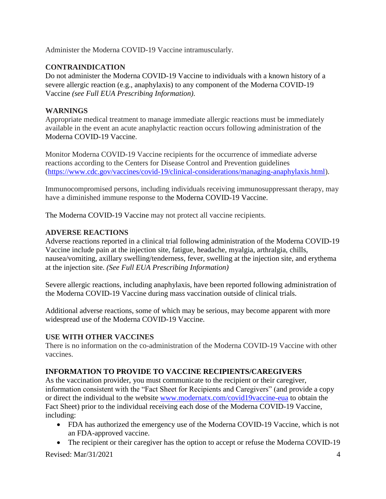Administer the Moderna COVID-19 Vaccine intramuscularly.

# **CONTRAINDICATION**

Do not administer the Moderna COVID-19 Vaccine to individuals with a known history of a severe allergic reaction (e.g., anaphylaxis) to any component of the Moderna COVID-19 Vaccine *(see Full EUA Prescribing Information)*.

# **WARNINGS**

Appropriate medical treatment to manage immediate allergic reactions must be immediately available in the event an acute anaphylactic reaction occurs following administration of the Moderna COVID-19 Vaccine.

Monitor Moderna COVID-19 Vaccine recipients for the occurrence of immediate adverse reactions according to the Centers for Disease Control and Prevention guidelines (https://www.cdc.gov/vaccines/covid-19/clinical-considerations/managing-anaphylaxis.html).

Immunocompromised persons, including individuals receiving immunosuppressant therapy, may have a diminished immune response to the Moderna COVID-19 Vaccine.

The Moderna COVID-19 Vaccine may not protect all vaccine recipients.

# **ADVERSE REACTIONS**

Adverse reactions reported in a clinical trial following administration of the Moderna COVID-19 Vaccine include pain at the injection site, fatigue, headache, myalgia, arthralgia, chills, nausea/vomiting, axillary swelling/tenderness, fever, swelling at the injection site, and erythema at the injection site. *(See Full EUA Prescribing Information)*

Severe allergic reactions, including anaphylaxis, have been reported following administration of the Moderna COVID-19 Vaccine during mass vaccination outside of clinical trials.

Additional adverse reactions, some of which may be serious, may become apparent with more widespread use of the Moderna COVID-19 Vaccine.

# **USE WITH OTHER VACCINES**

There is no information on the co-administration of the Moderna COVID-19 Vaccine with other vaccines.

# **INFORMATION TO PROVIDE TO VACCINE RECIPIENTS/CAREGIVERS**

As the vaccination provider, you must communicate to the recipient or their caregiver, information consistent with the "Fact Sheet for Recipients and Caregivers" (and provide a copy or direct the individual to the website www.modernatx.com/covid19vaccine-eua to obtain the Fact Sheet) prior to the individual receiving each dose of the Moderna COVID-19 Vaccine, including:

- FDA has authorized the emergency use of the Moderna COVID-19 Vaccine, which is not an FDA-approved vaccine.
- The recipient or their caregiver has the option to accept or refuse the Moderna COVID-19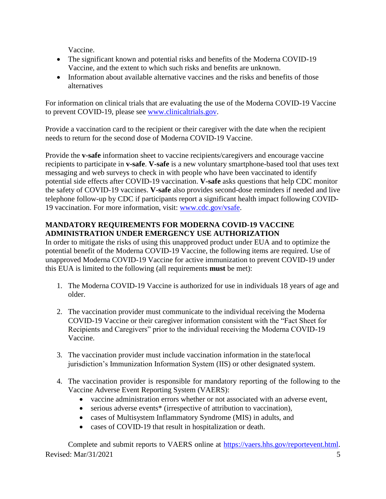Vaccine.

- The significant known and potential risks and benefits of the Moderna COVID-19 Vaccine, and the extent to which such risks and benefits are unknown.
- Information about available alternative vaccines and the risks and benefits of those alternatives

<span id="page-4-0"></span>For information on clinical trials that are evaluating the use of the Moderna COVID-19 Vaccine to prevent COVID-19, please see www.clinicaltrials.gov.

Provide a vaccination card to the recipient or their caregiver with the date when the recipient needs to return for the second dose of Moderna COVID-19 Vaccine.

Provide the **v-safe** information sheet to vaccine recipients/caregivers and encourage vaccine recipients to participate in **v-safe**. **V-safe** is a new voluntary smartphone-based tool that uses text messaging and web surveys to check in with people who have been vaccinated to identify potential side effects after COVID-19 vaccination. **V-safe** asks questions that help CDC monitor the safety of COVID-19 vaccines. **V-safe** also provides second-dose reminders if needed and live telephone follow-up by CDC if participants report a significant health impact following COVID-19 vaccination. For more information, visit: www.cdc.gov/vsafe.

## **MANDATORY REQUIREMENTS FOR MODERNA COVID-19 VACCINE ADMINISTRATION UNDER EMERGENCY USE AUTHORIZATION**

In order to mitigate the risks of using this unapproved product under EUA and to optimize the potential benefit of the Moderna COVID-19 Vaccine, the following items are required. Use of unapproved Moderna COVID-19 Vaccine for active immunization to prevent COVID-19 under this EUA is limited to the following (all requirements **must** be met):

- 1. The Moderna COVID-19 Vaccine is authorized for use in individuals 18 years of age and older.
- 2. The vaccination provider must communicate to the individual receiving the Moderna COVID-19 Vaccine or their caregiver information consistent with the "Fact Sheet for Recipients and Caregivers" prior to the individual receiving the Moderna COVID-19 Vaccine.
- 3. The vaccination provider must include vaccination information in the state/local jurisdiction's Immunization Information System (IIS) or other designated system.
- 4. The vaccination provider is responsible for mandatory reporting of the following to the Vaccine Adverse Event Reporting System (VAERS):
	- vaccine administration errors whether or not associated with an adverse event,
	- serious adverse events<sup>\*</sup> (irrespective of attribution to vaccination),
	- cases of Multisystem Inflammatory Syndrome (MIS) in adults, and
	- cases of COVID-19 that result in hospitalization or death.

Revised:  $\text{Mar}/31/2021$  5 Complete and submit reports to VAERS online at https://vaers.hhs.gov/reportevent.html.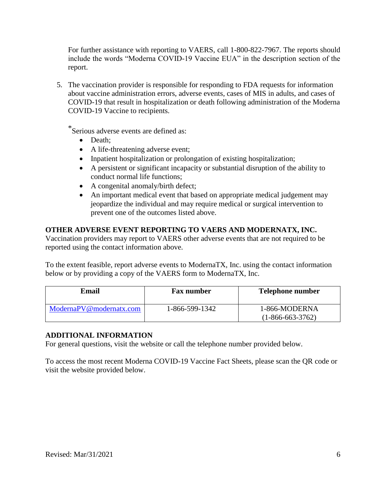For further assistance with reporting to VAERS, call 1-800-822-7967. The reports should include the words "Moderna COVID-19 Vaccine EUA" in the description section of the report.

5. The vaccination provider is responsible for responding to FDA requests for information about vaccine administration errors, adverse events, cases of MIS in adults, and cases of COVID-19 that result in hospitalization or death following administration of the Moderna COVID-19 Vaccine to recipients.

\*Serious adverse events are defined as:

- Death:
- A life-threatening adverse event;
- Inpatient hospitalization or prolongation of existing hospitalization;
- A persistent or significant incapacity or substantial disruption of the ability to conduct normal life functions;
- A congenital anomaly/birth defect;
- An important medical event that based on appropriate medical judgement may jeopardize the individual and may require medical or surgical intervention to prevent one of the outcomes listed above.

## **OTHER ADVERSE EVENT REPORTING TO VAERS AND MODERNATX, INC.**

Vaccination providers may report to VAERS other adverse events that are not required to be reported using the contact information above.

To the extent feasible, report adverse events to ModernaTX, Inc. using the contact information below or by providing a copy of the VAERS form to ModernaTX, Inc.

| <b>Email</b>            | <b>Fax number</b> | <b>Telephone number</b>             |
|-------------------------|-------------------|-------------------------------------|
| ModernaPV@modernatx.com | 1-866-599-1342    | 1-866-MODERNA<br>$(1-866-663-3762)$ |

## **ADDITIONAL INFORMATION**

For general questions, visit the website or call the telephone number provided below.

To access the most recent Moderna COVID-19 Vaccine Fact Sheets, please scan the QR code or visit the website provided below.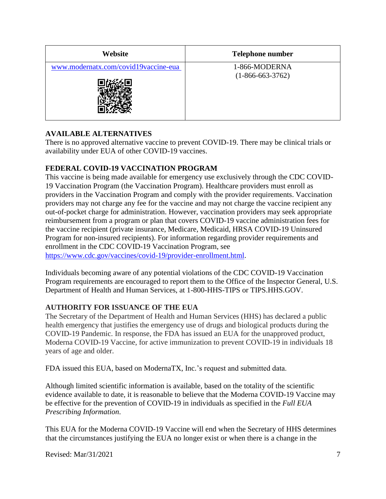| Website                              | <b>Telephone number</b>             |
|--------------------------------------|-------------------------------------|
| www.modernatx.com/covid19vaccine-eua | 1-866-MODERNA<br>$(1-866-663-3762)$ |

# **AVAILABLE ALTERNATIVES**

There is no approved alternative vaccine to prevent COVID-19. There may be clinical trials or availability under EUA of other COVID-19 vaccines.

# **FEDERAL COVID-19 VACCINATION PROGRAM**

This vaccine is being made available for emergency use exclusively through the CDC COVID-19 Vaccination Program (the Vaccination Program). Healthcare providers must enroll as providers in the Vaccination Program and comply with the provider requirements. Vaccination providers may not charge any fee for the vaccine and may not charge the vaccine recipient any out-of-pocket charge for administration. However, vaccination providers may seek appropriate reimbursement from a program or plan that covers COVID-19 vaccine administration fees for the vaccine recipient (private insurance, Medicare, Medicaid, HRSA COVID-19 Uninsured Program for non-insured recipients). For information regarding provider requirements and enrollment in the CDC COVID-19 Vaccination Program, see https://www.cdc.gov/vaccines/covid-19/provider-enrollment.html.

Individuals becoming aware of any potential violations of the CDC COVID-19 Vaccination Program requirements are encouraged to report them to the Office of the Inspector General, U.S. Department of Health and Human Services, at 1-800-HHS-TIPS or TIPS.HHS.GOV.

# **AUTHORITY FOR ISSUANCE OF THE EUA**

The Secretary of the Department of Health and Human Services (HHS) has declared a public health emergency that justifies the emergency use of drugs and biological products during the COVID-19 Pandemic. In response, the FDA has issued an EUA for the unapproved product, Moderna COVID-19 Vaccine, for active immunization to prevent COVID-19 in individuals 18 years of age and older.

FDA issued this EUA, based on ModernaTX, Inc.'s request and submitted data.

Although limited scientific information is available, based on the totality of the scientific evidence available to date, it is reasonable to believe that the Moderna COVID-19 Vaccine may be effective for the prevention of COVID-19 in individuals as specified in the *Full EUA Prescribing Information*.

This EUA for the Moderna COVID-19 Vaccine will end when the Secretary of HHS determines that the circumstances justifying the EUA no longer exist or when there is a change in the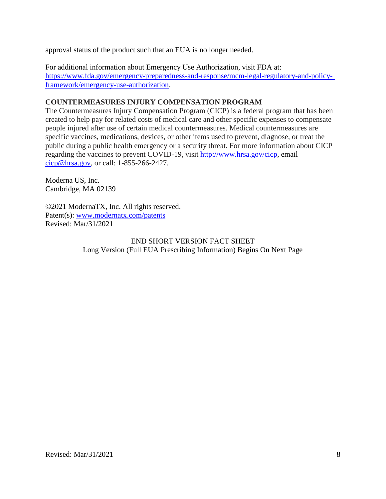approval status of the product such that an EUA is no longer needed.

For additional information about Emergency Use Authorization, visit FDA at: https://www.fda.gov/emergency-preparedness-and-response/mcm-legal-regulatory-and-policyframework/emergency-use-authorization.

## **COUNTERMEASURES INJURY COMPENSATION PROGRAM**

The Countermeasures Injury Compensation Program (CICP) is a federal program that has been created to help pay for related costs of medical care and other specific expenses to compensate people injured after use of certain medical countermeasures. Medical countermeasures are specific vaccines, medications, devices, or other items used to prevent, diagnose, or treat the public during a public health emergency or a security threat. For more information about CICP regarding the vaccines to prevent COVID-19, visit http://www.hrsa.gov/cicp, email cicp@hrsa.gov, or call: 1-855-266-2427.

Moderna US, Inc. Cambridge, MA 02139

©2021 ModernaTX, Inc. All rights reserved. Patent(s): www.modernatx.com/patents Revised: Mar/31/2021

## END SHORT VERSION FACT SHEET Long Version (Full EUA Prescribing Information) Begins On Next Page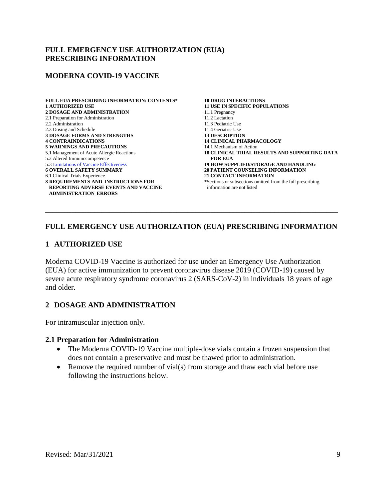### **FULL EMERGENCY USE AUTHORIZATION (EUA) PRESCRIBING INFORMATION**

### **MODERNA COVID-19 VACCINE**

**FULL EUA PRESCRIBING INFORMATION: CONTENTS\* 1 AUTHORIZED USE 2 DOSAGE AND ADMINISTRATION** 2.1 Preparation for Administration 2.2 Administration 2.3 Dosing and Schedule **3 DOSAGE FORMS AND STRENGTHS 4 CONTRAINDICATIONS 5 WARNINGS AND PRECAUTIONS** 5.1 Management of Acute Allergic Reactions 5.2 Altered Immunocompetence 5.3 Limitations of Vaccine [Effectiveness](#page-10-0) **6 OVERALL SAFETY SUMMARY** 6.1 Clinical Trials Experience **8 REQUIREMENTS AND INSTRUCTIONS FOR REPORTING ADVERSE EVENTS AND VACCINE ADMINISTRATION ERRORS**

**10 DRUG INTERACTIONS 11 USE IN SPECIFIC POPULATIONS** 11.1 Pregnancy 11.2 Lactation 11.3 Pediatric Use 11.4 Geriatric Use **13 DESCRIPTION 14 CLINICAL PHARMACOLOGY** 14.1 Mechanism of Action **18 CLINICAL TRIAL RESULTS AND SUPPORTING DATA FOR EUA 19 HOW SUPPLIED/STORAGE AND HANDLING 20 PATIENT COUNSELING INFORMATION 21 CONTACT INFORMATION** \*Sections or subsections omitted from the full prescribing information are not listed

## **FULL EMERGENCY USE AUTHORIZATION (EUA) PRESCRIBING INFORMATION**

\_\_\_\_\_\_\_\_\_\_\_\_\_\_\_\_\_\_\_\_\_\_\_\_\_\_\_\_\_\_\_\_\_\_\_\_\_\_\_\_\_\_\_\_\_\_\_\_\_\_\_\_\_\_\_\_\_\_\_\_\_\_\_\_\_\_\_\_\_\_\_\_\_\_\_\_\_\_

### **1 AUTHORIZED USE**

Moderna COVID-19 Vaccine is authorized for use under an Emergency Use Authorization (EUA) for active immunization to prevent coronavirus disease 2019 (COVID-19) caused by severe acute respiratory syndrome coronavirus 2 (SARS-CoV-2) in individuals 18 years of age and older.

### **2 DOSAGE AND ADMINISTRATION**

For intramuscular injection only.

### **2.1 Preparation for Administration**

- The Moderna COVID-19 Vaccine multiple-dose vials contain a frozen suspension that does not contain a preservative and must be thawed prior to administration.
- Remove the required number of vial(s) from storage and thaw each vial before use following the instructions below.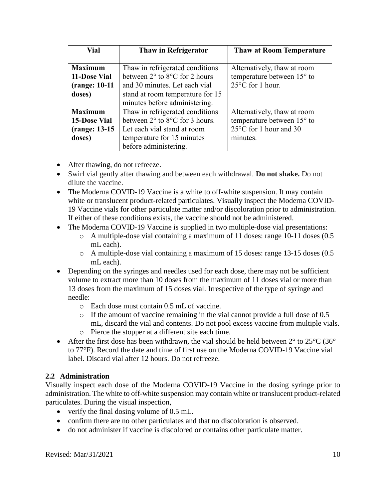| Vial                                          | Thaw in Refrigerator                              | <b>Thaw at Room Temperature</b> |
|-----------------------------------------------|---------------------------------------------------|---------------------------------|
|                                               |                                                   |                                 |
| <b>Maximum</b>                                | Thaw in refrigerated conditions                   | Alternatively, thaw at room     |
| 11-Dose Vial                                  | between $2^{\circ}$ to $8^{\circ}$ C for 2 hours  | temperature between 15° to      |
| (range: 10-11)                                | and 30 minutes. Let each vial                     | $25^{\circ}$ C for 1 hour.      |
| doses)                                        | stand at room temperature for 15                  |                                 |
|                                               | minutes before administering.                     |                                 |
| <b>Maximum</b>                                | Thaw in refrigerated conditions                   | Alternatively, thaw at room     |
| <b>15-Dose Vial</b>                           | between $2^{\circ}$ to $8^{\circ}$ C for 3 hours. | temperature between 15° to      |
| Let each vial stand at room<br>(range: 13-15) |                                                   | 25°C for 1 hour and 30          |
| doses)                                        | temperature for 15 minutes                        | minutes.                        |
|                                               | before administering.                             |                                 |

- After thawing, do not refreeze.
- Swirl vial gently after thawing and between each withdrawal. **Do not shake.** Do not dilute the vaccine.
- The Moderna COVID-19 Vaccine is a white to off-white suspension. It may contain white or translucent product-related particulates. Visually inspect the Moderna COVID-19 Vaccine vials for other particulate matter and/or discoloration prior to administration. If either of these conditions exists, the vaccine should not be administered.
- The Moderna COVID-19 Vaccine is supplied in two multiple-dose vial presentations:
	- o A multiple-dose vial containing a maximum of 11 doses: range 10-11 doses (0.5 mL each).
	- $\circ$  A multiple-dose vial containing a maximum of 15 doses: range 13-15 doses (0.5) mL each).
- Depending on the syringes and needles used for each dose, there may not be sufficient volume to extract more than 10 doses from the maximum of 11 doses vial or more than 13 doses from the maximum of 15 doses vial. Irrespective of the type of syringe and needle:
	- o Each dose must contain 0.5 mL of vaccine.
	- o If the amount of vaccine remaining in the vial cannot provide a full dose of 0.5 mL, discard the vial and contents. Do not pool excess vaccine from multiple vials.
	- o Pierce the stopper at a different site each time.
- After the first dose has been withdrawn, the vial should be held between  $2^{\circ}$  to  $25^{\circ}$ C (36° to 77°F). Record the date and time of first use on the Moderna COVID-19 Vaccine vial label. Discard vial after 12 hours. Do not refreeze.

# **2.2 Administration**

Visually inspect each dose of the Moderna COVID-19 Vaccine in the dosing syringe prior to administration. The white to off-white suspension may contain white or translucent product-related particulates. During the visual inspection,

- verify the final dosing volume of 0.5 mL.
- confirm there are no other particulates and that no discoloration is observed.
- do not administer if vaccine is discolored or contains other particulate matter.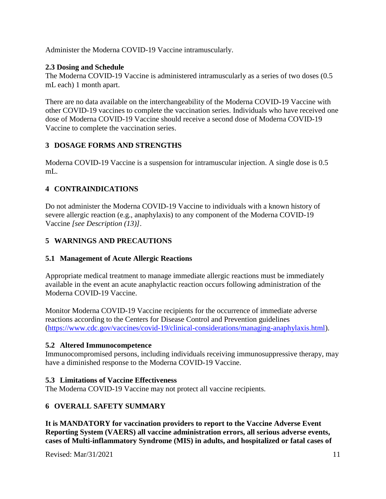Administer the Moderna COVID-19 Vaccine intramuscularly.

## **2.3 Dosing and Schedule**

The Moderna COVID-19 Vaccine is administered intramuscularly as a series of two doses (0.5 mL each) 1 month apart.

There are no data available on the interchangeability of the Moderna COVID-19 Vaccine with other COVID-19 vaccines to complete the vaccination series. Individuals who have received one dose of Moderna COVID-19 Vaccine should receive a second dose of Moderna COVID-19 Vaccine to complete the vaccination series.

# **3 DOSAGE FORMS AND STRENGTHS**

Moderna COVID-19 Vaccine is a suspension for intramuscular injection. A single dose is 0.5 mL.

# **4 CONTRAINDICATIONS**

<span id="page-10-0"></span>Do not administer the Moderna COVID-19 Vaccine to individuals with a known history of severe allergic reaction (e.g., anaphylaxis) to any component of the Moderna COVID-19 Vaccine *[see Description (13)]*.

# **5 WARNINGS AND PRECAUTIONS**

# **5.1 Management of Acute Allergic Reactions**

Appropriate medical treatment to manage immediate allergic reactions must be immediately available in the event an acute anaphylactic reaction occurs following administration of the Moderna COVID-19 Vaccine.

Monitor Moderna COVID-19 Vaccine recipients for the occurrence of immediate adverse reactions according to the Centers for Disease Control and Prevention guidelines (https://www.cdc.gov/vaccines/covid-19/clinical-considerations/managing-anaphylaxis.html).

# **5.2 Altered Immunocompetence**

Immunocompromised persons, including individuals receiving immunosuppressive therapy, may have a diminished response to the Moderna COVID-19 Vaccine.

# **5.3 Limitations of Vaccine Effectiveness**

The Moderna COVID-19 Vaccine may not protect all vaccine recipients.

# **6 OVERALL SAFETY SUMMARY**

**It is MANDATORY for vaccination providers to report to the Vaccine Adverse Event Reporting System (VAERS) all vaccine administration errors, all serious adverse events, cases of Multi-inflammatory Syndrome (MIS) in adults, and hospitalized or fatal cases of**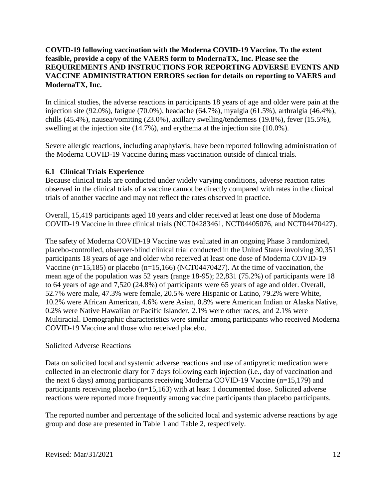## **COVID-19 following vaccination with the Moderna COVID-19 Vaccine. To the extent feasible, provide a copy of the VAERS form to ModernaTX, Inc. Please see the REQUIREMENTS AND INSTRUCTIONS FOR REPORTING ADVERSE EVENTS AND VACCINE ADMINISTRATION ERRORS section for details on reporting to VAERS and ModernaTX, Inc.**

In clinical studies, the adverse reactions in participants 18 years of age and older were pain at the injection site (92.0%), fatigue (70.0%), headache (64.7%), myalgia (61.5%), arthralgia (46.4%), chills (45.4%), nausea/vomiting (23.0%), axillary swelling/tenderness (19.8%), fever (15.5%), swelling at the injection site (14.7%), and erythema at the injection site (10.0%).

Severe allergic reactions, including anaphylaxis, have been reported following administration of the Moderna COVID-19 Vaccine during mass vaccination outside of clinical trials.

## **6.1 Clinical Trials Experience**

Because clinical trials are conducted under widely varying conditions, adverse reaction rates observed in the clinical trials of a vaccine cannot be directly compared with rates in the clinical trials of another vaccine and may not reflect the rates observed in practice.

Overall, 15,419 participants aged 18 years and older received at least one dose of Moderna COVID-19 Vaccine in three clinical trials (NCT04283461, NCT04405076, and NCT04470427).

The safety of Moderna COVID-19 Vaccine was evaluated in an ongoing Phase 3 randomized, placebo-controlled, observer-blind clinical trial conducted in the United States involving 30,351 participants 18 years of age and older who received at least one dose of Moderna COVID-19 Vaccine (n=15,185) or placebo (n=15,166) (NCT04470427). At the time of vaccination, the mean age of the population was 52 years (range 18-95); 22,831 (75.2%) of participants were 18 to 64 years of age and 7,520 (24.8%) of participants were 65 years of age and older. Overall, 52.7% were male, 47.3% were female, 20.5% were Hispanic or Latino, 79.2% were White, 10.2% were African American, 4.6% were Asian, 0.8% were American Indian or Alaska Native, 0.2% were Native Hawaiian or Pacific Islander, 2.1% were other races, and 2.1% were Multiracial. Demographic characteristics were similar among participants who received Moderna COVID-19 Vaccine and those who received placebo.

### Solicited Adverse Reactions

Data on solicited local and systemic adverse reactions and use of antipyretic medication were collected in an electronic diary for 7 days following each injection (i.e., day of vaccination and the next 6 days) among participants receiving Moderna COVID-19 Vaccine (n=15,179) and participants receiving placebo (n=15,163) with at least 1 documented dose. Solicited adverse reactions were reported more frequently among vaccine participants than placebo participants.

The reported number and percentage of the solicited local and systemic adverse reactions by age group and dose are presented in Table 1 and Table 2, respectively.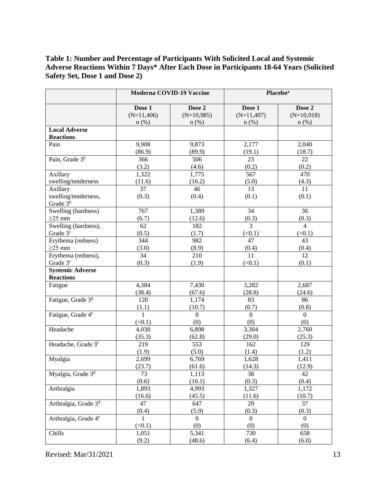## **Table 1: Number and Percentage of Participants With Solicited Local and Systemic Adverse Reactions Within 7 Days\* After Each Dose in Participants 18-64 Years (Solicited Safety Set, Dose 1 and Dose 2)**

|                                  |              | Moderna COVID-19 Vaccine |                | <b>Placebo</b> <sup>a</sup> |
|----------------------------------|--------------|--------------------------|----------------|-----------------------------|
|                                  | Dose 1       | Dose 2                   | Dose 1         | Dose 2                      |
|                                  | $(N=11,406)$ | $(N=10,985)$             | $(N=11,407)$   | $(N=10,918)$                |
|                                  | $n$ (%)      | $n$ (%)                  | $n$ (%)        | $n$ (%)                     |
| <b>Local Adverse</b>             |              |                          |                |                             |
| <b>Reactions</b>                 |              |                          |                |                             |
| Pain                             | 9,908        | 9,873                    | 2,177          | 2,040                       |
|                                  | (86.9)       | (89.9)                   | (19.1)         | (18.7)                      |
| Pain, Grade 3 <sup>b</sup>       | 366          | 506                      | 23             | 22                          |
|                                  | (3.2)        | (4.6)                    | (0.2)          | (0.2)                       |
| Axillary                         | 1,322        | 1,775                    | 567            | 470                         |
| swelling/tenderness              | (11.6)       | (16.2)                   | (5.0)          | (4.3)                       |
| Axillary                         | 37           | 46                       | 13             | 11                          |
| swelling/tenderness,             | (0.3)        | (0.4)                    | (0.1)          | (0.1)                       |
| Grade 3 <sup>b</sup>             |              |                          |                |                             |
| Swelling (hardness)              | 767          | 1,389                    | 34             | 36                          |
| $\geq$ 25 mm                     | (6.7)        | (12.6)                   | (0.3)          | (0.3)                       |
| Swelling (hardness),             | 62           | 182                      | $\overline{3}$ | $\overline{4}$              |
| Grade 3 <sup>c</sup>             | (0.5)        | (1.7)                    | (<0.1)         | (<0.1)                      |
| Erythema (redness)               | 344          | 982                      | 47             | 43                          |
| $\geq$ 25 mm                     | (3.0)        | (8.9)                    | (0.4)          | (0.4)                       |
| Erythema (redness),              | 34           | 210                      | 11             | $\overline{12}$             |
| Grade 3 <sup>c</sup>             | (0.3)        | (1.9)                    | (<0.1)         | (0.1)                       |
| <b>Systemic Adverse</b>          |              |                          |                |                             |
| <b>Reactions</b>                 |              |                          |                |                             |
| Fatigue                          | 4,384        | 7,430                    | 3,282          | 2,687                       |
|                                  | (38.4)       | (67.6)                   | (28.8)         | (24.6)                      |
| Fatigue, Grade 3 <sup>d</sup>    | 120          | 1,174                    | 83             | 86                          |
|                                  | (1.1)        | (10.7)                   | (0.7)          | (0.8)                       |
| Fatigue, Grade 4 <sup>e</sup>    | $\mathbf{1}$ | $\overline{0}$           | $\Omega$       | $\boldsymbol{0}$            |
|                                  | (<0.1)       | (0)                      | (0)            | (0)                         |
| Headache                         | 4,030        | 6,898                    | 3,304          | 2,760                       |
|                                  | (35.3)       | (62.8)                   | (29.0)         | (25.3)                      |
| Headache, Grade 3f               | 219          | 553                      | 162            | 129                         |
|                                  | (1.9)        | (5.0)                    | (1.4)          | (1.2)                       |
| Myalgia                          | 2,699        | 6,769                    | 1,628          | 1,411                       |
|                                  | (23.7)       | (61.6)                   | (14.3)         | (12.9)                      |
| Myalgia, Grade 3 <sup>d</sup>    | 73           | 1,113                    | 38             | 42                          |
|                                  | (0.6)        | (10.1)                   | (0.3)          | (0.4)                       |
| Arthralgia                       | 1,893        | 4,993                    | 1,327          | 1,172                       |
|                                  | (16.6)       | (45.5)                   | (11.6)         | (10.7)                      |
| Arthralgia, Grade 3 <sup>d</sup> | 47           | 647                      | 29             | 37                          |
|                                  | (0.4)        | (5.9)                    | (0.3)          | (0.3)                       |
| Arthralgia, Grade 4 <sup>e</sup> | 1            | $\mathbf{0}$             | $\Omega$       | $\Omega$                    |
|                                  | (<0.1)       | (0)                      | (0)            | (0)                         |
| Chills                           | 1,051        | 5,341                    | 730            | 658                         |
|                                  | (9.2)        | (48.6)                   | (6.4)          | (6.0)                       |

Revised: Mar/31/2021 13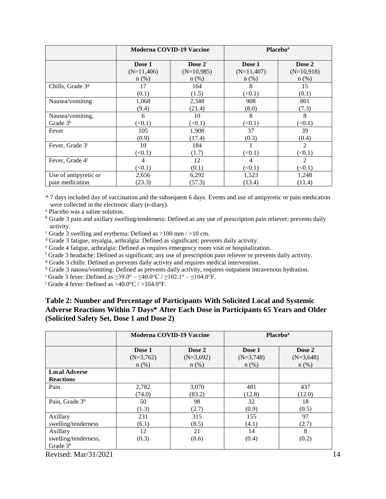|                              |              | Moderna COVID-19 Vaccine |              | <b>Placebo</b> <sup>a</sup> |
|------------------------------|--------------|--------------------------|--------------|-----------------------------|
|                              | Dose 1       | Dose 2                   | Dose 1       | Dose 2                      |
|                              | $(N=11,406)$ | $(N=10,985)$             | $(N=11,407)$ | $(N=10,918)$                |
|                              | $n$ (%)      | $n$ (%)                  | $n$ (%)      | $n$ (%)                     |
| Chills, Grade 3 <sup>g</sup> | 17           | 164                      | 8            | 15                          |
|                              | (0.1)        | (1.5)                    | (<0.1)       | (0.1)                       |
| Nausea/vomiting              | 1,068        | 2,348                    | 908          | 801                         |
|                              | (9.4)        | (21.4)                   | (8.0)        | (7.3)                       |
| Nausea/vomiting,             | 6            | 10                       | 8            | 8                           |
| Grade 3 <sup>h</sup>         | (<0.1)       | (<0.1)                   | (<0.1)       | (<0.1)                      |
| Fever                        | 105          | 1,908                    | 37           | 39                          |
|                              | (0.9)        | (17.4)                   | (0.3)        | (0.4)                       |
| Fever, Grade 3 <sup>i</sup>  | 10           | 184                      |              | 2                           |
|                              | (<0.1)       | (1.7)                    | (<0.1)       | (<0.1)                      |
| Fever, Grade 4               | 4            | 12                       | 4            | 2                           |
|                              | (<0.1)       | (0.1)                    | (<0.1)       | (<0.1)                      |
| Use of antipyretic or        | 2,656        | 6,292                    | 1,523        | 1,248                       |
| pain medication              | (23.3)       | (57.3)                   | (13.4)       | (11.4)                      |

\* 7 days included day of vaccination and the subsequent 6 days. Events and use of antipyretic or pain medication were collected in the electronic diary (e-diary).

<sup>a</sup> Placebo was a saline solution.

<sup>b</sup> Grade 3 pain and axillary swelling/tenderness: Defined as any use of prescription pain reliever; prevents daily activity.

 $\textdegree$  Grade 3 swelling and erythema: Defined as  $>100$  mm  $/>10$  cm.

<sup>d</sup> Grade 3 fatigue, myalgia, arthralgia: Defined as significant; prevents daily activity.

<sup>e</sup> Grade 4 fatigue, arthralgia: Defined as requires emergency room visit or hospitalization.

<sup>f</sup> Grade 3 headache: Defined as significant; any use of prescription pain reliever or prevents daily activity.

<sup>g</sup> Grade 3 chills: Defined as prevents daily activity and requires medical intervention.

<sup>h</sup> Grade 3 nausea/vomiting: Defined as prevents daily activity, requires outpatient intravenous hydration.

<sup>i</sup> Grade 3 fever: Defined as ≥39.0° – ≤40.0°C / ≥102.1° – ≤104.0°F.

<sup>j</sup> Grade 4 fever: Defined as  $>40.0$ °C /  $>104.0$ °F.

## **Table 2: Number and Percentage of Participants With Solicited Local and Systemic Adverse Reactions Within 7 Days\* After Each Dose in Participants 65 Years and Older (Solicited Safety Set, Dose 1 and Dose 2)**

|                                                |             | <b>Moderna COVID-19 Vaccine</b> | <b>Placebo</b> <sup>a</sup> |             |  |
|------------------------------------------------|-------------|---------------------------------|-----------------------------|-------------|--|
|                                                | Dose 1      | Dose 2                          | Dose 1                      | Dose 2      |  |
|                                                | $(N=3,762)$ | $(N=3,692)$                     | $(N=3,748)$                 | $(N=3,648)$ |  |
|                                                | $n$ (%)     | $n$ (%)                         | $n(\%)$                     | $n$ (%)     |  |
| <b>Local Adverse</b><br><b>Reactions</b>       |             |                                 |                             |             |  |
| Pain                                           | 2,782       | 3,070                           | 481                         | 437         |  |
|                                                | (74.0)      | (83.2)                          | (12.8)                      | (12.0)      |  |
| Pain, Grade 3 <sup>b</sup>                     | 50          | 98                              | 32                          | 18          |  |
|                                                | (1.3)       | (2.7)                           | (0.9)                       | (0.5)       |  |
| Axillary                                       | 231         | 315                             | 155                         | 97          |  |
| swelling/tenderness                            | (6.1)       | (8.5)                           | (4.1)                       | (2.7)       |  |
| Axillary<br>swelling/tenderness,<br>Grade $3b$ | 12<br>(0.3) | 21<br>(0.6)                     | 14<br>(0.4)                 | 8<br>(0.2)  |  |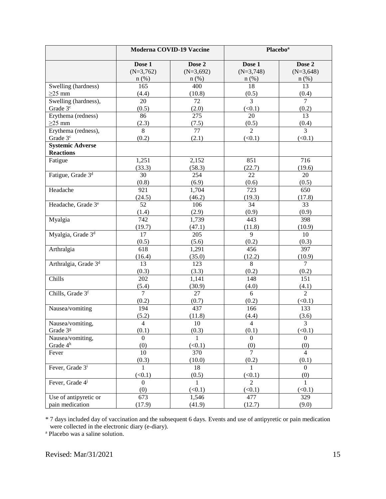|                                  |                         | Moderna COVID-19 Vaccine | <b>Placebo</b> <sup>a</sup> |                   |
|----------------------------------|-------------------------|--------------------------|-----------------------------|-------------------|
|                                  | Dose 1                  | Dose 2                   | Dose 1                      | Dose 2            |
|                                  | $(N=3,762)$             | $(N=3,692)$              | $(N=3,748)$                 | $(N=3,648)$       |
|                                  | $n$ (%)                 | $n$ (%)                  | $n$ (%)                     | $n$ (%)           |
| Swelling (hardness)              | 165                     | 400                      | 18                          | 13                |
| $\geq$ 25 mm                     | (4.4)                   | (10.8)                   | (0.5)                       | (0.4)             |
| Swelling (hardness),             | 20                      | 72                       | $\overline{3}$              | $\overline{7}$    |
| Grade 3 <sup>c</sup>             | (0.5)                   | (2.0)                    | (<0.1)                      | (0.2)             |
| Erythema (redness)               | 86                      | 275                      | 20                          | 13                |
| $\geq$ 25 mm                     | (2.3)                   | (7.5)                    | (0.5)                       | $\frac{(0.4)}{3}$ |
| Erythema (redness),              | $\overline{8}$          | $\overline{77}$          | $\overline{2}$              |                   |
| Grade 3 <sup>c</sup>             | (0.2)                   | (2.1)                    | (<0.1)                      | (<0.1)            |
| <b>Systemic Adverse</b>          |                         |                          |                             |                   |
| <b>Reactions</b>                 |                         |                          |                             |                   |
| Fatigue                          | 1,251                   | 2,152                    | 851                         | 716               |
|                                  | (33.3)                  | (58.3)                   | (22.7)                      | (19.6)            |
| Fatigue, Grade 3 <sup>d</sup>    | 30                      | 254                      | $\overline{22}$             | 20                |
|                                  | (0.8)                   | (6.9)                    | (0.6)                       | (0.5)             |
| Headache                         | 921                     | 1,704                    | 723                         | 650               |
|                                  | (24.5)                  | (46.2)                   | (19.3)                      | (17.8)            |
| Headache, Grade 3 <sup>e</sup>   | 52                      | 106                      | 34                          | 33                |
|                                  | (1.4)                   | (2.9)                    | (0.9)                       | (0.9)             |
| Myalgia                          | 742                     | 1,739                    | 443                         | 398               |
|                                  | (19.7)                  | (47.1)                   | (11.8)                      | (10.9)            |
| Myalgia, Grade 3 <sup>d</sup>    | 17                      | 205                      | 9                           | 10                |
|                                  | (0.5)                   | (5.6)                    | (0.2)                       | (0.3)             |
| Arthralgia                       | 618                     | 1,291                    | 456                         | 397               |
|                                  | (16.4)                  | (35.0)                   | (12.2)                      | (10.9)            |
| Arthralgia, Grade 3 <sup>d</sup> | 13                      | 123                      | 8                           | $\overline{7}$    |
|                                  | (0.3)                   | (3.3)                    | (0.2)                       | (0.2)             |
| Chills                           | 202                     | 1,141                    | 148                         | 151               |
|                                  | (5.4)                   | (30.9)                   | (4.0)                       | (4.1)             |
| Chills, Grade 3 <sup>f</sup>     | $\overline{7}$          | 27                       | 6                           | $\overline{2}$    |
|                                  | (0.2)<br>194            | (0.7)                    | (0.2)                       | (<0.1)            |
| Nausea/vomiting                  |                         | 437                      | 166                         | 133               |
|                                  | (5.2)<br>$\overline{4}$ | (11.8)<br>10             | (4.4)<br>$\overline{4}$     | (3.6)<br>3        |
| Nausea/vomiting,<br>Grade 3g     | (0.1)                   | (0.3)                    | (0.1)                       | (<0.1)            |
| Nausea/vomiting,                 | $\overline{0}$          | $\mathbf{1}$             | $\Omega$                    | $\Omega$          |
| Grade 4 <sup>h</sup>             | (0)                     | (<0.1)                   | (0)                         | (0)               |
| Fever                            | 10                      | 370                      | $\overline{7}$              | $\overline{4}$    |
|                                  | (0.3)                   | (10.0)                   | (0.2)                       | (0.1)             |
| Fever, Grade 3 <sup>i</sup>      | $\mathbf{1}$            | 18                       | $\mathbf{1}$                | $\Omega$          |
|                                  | (<0.1)                  | (0.5)                    | (<0.1)                      | (0)               |
| Fever, Grade 4 <sup>j</sup>      | $\overline{0}$          | 1                        | $\overline{2}$              | $\mathbf{1}$      |
|                                  | (0)                     | (<0.1)                   | (<0.1)                      | (<0.1)            |
| Use of antipyretic or            | 673                     | 1,546                    | 477                         | 329               |
| pain medication                  | (17.9)                  | (41.9)                   | (12.7)                      | (9.0)             |

\* 7 days included day of vaccination and the subsequent 6 days. Events and use of antipyretic or pain medication were collected in the electronic diary (e-diary).

<sup>a</sup> Placebo was a saline solution.

Revised: Mar/31/2021 15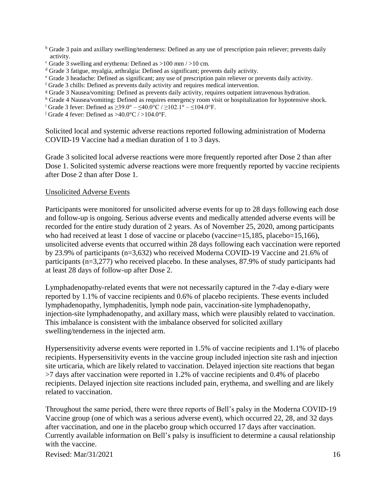- <sup>b</sup> Grade 3 pain and axillary swelling/tenderness: Defined as any use of prescription pain reliever; prevents daily activity.
- $\textdegree$  Grade 3 swelling and erythema: Defined as  $>100$  mm  $/$   $>10$  cm.
- <sup>d</sup> Grade 3 fatigue, myalgia, arthralgia: Defined as significant; prevents daily activity.
- <sup>e</sup> Grade 3 headache: Defined as significant; any use of prescription pain reliever or prevents daily activity.
- <sup>f</sup> Grade 3 chills: Defined as prevents daily activity and requires medical intervention.
- <sup>g</sup> Grade 3 Nausea/vomiting: Defined as prevents daily activity, requires outpatient intravenous hydration.
- <sup>h</sup> Grade 4 Nausea/vomiting: Defined as requires emergency room visit or hospitalization for hypotensive shock.
- <sup>i</sup> Grade 3 fever: Defined as ≥39.0° ≤40.0°C / ≥102.1° ≤104.0°F.
- <sup>j</sup> Grade 4 fever: Defined as  $>40.0$ °C /  $>104.0$ °F.

Solicited local and systemic adverse reactions reported following administration of Moderna COVID-19 Vaccine had a median duration of 1 to 3 days.

Grade 3 solicited local adverse reactions were more frequently reported after Dose 2 than after Dose 1. Solicited systemic adverse reactions were more frequently reported by vaccine recipients after Dose 2 than after Dose 1.

#### Unsolicited Adverse Events

Participants were monitored for unsolicited adverse events for up to 28 days following each dose and follow-up is ongoing. Serious adverse events and medically attended adverse events will be recorded for the entire study duration of 2 years. As of November 25, 2020, among participants who had received at least 1 dose of vaccine or placebo (vaccine=15,185, placebo=15,166), unsolicited adverse events that occurred within 28 days following each vaccination were reported by 23.9% of participants (n=3,632) who received Moderna COVID-19 Vaccine and 21.6% of participants (n=3,277) who received placebo. In these analyses, 87.9% of study participants had at least 28 days of follow-up after Dose 2.

Lymphadenopathy-related events that were not necessarily captured in the 7-day e-diary were reported by 1.1% of vaccine recipients and 0.6% of placebo recipients. These events included lymphadenopathy, lymphadenitis, lymph node pain, vaccination-site lymphadenopathy, injection-site lymphadenopathy, and axillary mass, which were plausibly related to vaccination. This imbalance is consistent with the imbalance observed for solicited axillary swelling/tenderness in the injected arm.

Hypersensitivity adverse events were reported in 1.5% of vaccine recipients and 1.1% of placebo recipients. Hypersensitivity events in the vaccine group included injection site rash and injection site urticaria, which are likely related to vaccination. Delayed injection site reactions that began >7 days after vaccination were reported in 1.2% of vaccine recipients and 0.4% of placebo recipients. Delayed injection site reactions included pain, erythema, and swelling and are likely related to vaccination.

Throughout the same period, there were three reports of Bell's palsy in the Moderna COVID-19 Vaccine group (one of which was a serious adverse event), which occurred 22, 28, and 32 days after vaccination, and one in the placebo group which occurred 17 days after vaccination. Currently available information on Bell's palsy is insufficient to determine a causal relationship with the vaccine.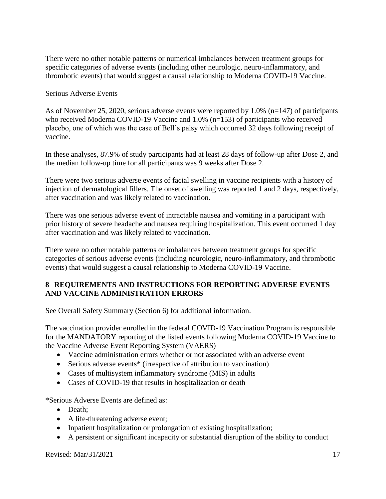There were no other notable patterns or numerical imbalances between treatment groups for specific categories of adverse events (including other neurologic, neuro-inflammatory, and thrombotic events) that would suggest a causal relationship to Moderna COVID-19 Vaccine.

### Serious Adverse Events

As of November 25, 2020, serious adverse events were reported by 1.0% (n=147) of participants who received Moderna COVID-19 Vaccine and 1.0% (n=153) of participants who received placebo, one of which was the case of Bell's palsy which occurred 32 days following receipt of vaccine.

In these analyses, 87.9% of study participants had at least 28 days of follow-up after Dose 2, and the median follow-up time for all participants was 9 weeks after Dose 2.

There were two serious adverse events of facial swelling in vaccine recipients with a history of injection of dermatological fillers. The onset of swelling was reported 1 and 2 days, respectively, after vaccination and was likely related to vaccination.

There was one serious adverse event of intractable nausea and vomiting in a participant with prior history of severe headache and nausea requiring hospitalization. This event occurred 1 day after vaccination and was likely related to vaccination.

There were no other notable patterns or imbalances between treatment groups for specific categories of serious adverse events (including neurologic, neuro-inflammatory, and thrombotic events) that would suggest a causal relationship to Moderna COVID-19 Vaccine.

## **8 REQUIREMENTS AND INSTRUCTIONS FOR REPORTING ADVERSE EVENTS AND VACCINE ADMINISTRATION ERRORS**

See Overall Safety Summary (Section 6) for additional information.

The vaccination provider enrolled in the federal COVID-19 Vaccination Program is responsible for the MANDATORY reporting of the listed events following Moderna COVID-19 Vaccine to the Vaccine Adverse Event Reporting System (VAERS)

- Vaccine administration errors whether or not associated with an adverse event
- Serious adverse events<sup>\*</sup> (irrespective of attribution to vaccination)
- Cases of multisystem inflammatory syndrome (MIS) in adults
- Cases of COVID-19 that results in hospitalization or death

\*Serious Adverse Events are defined as:

- Death;
- A life-threatening adverse event;
- Inpatient hospitalization or prolongation of existing hospitalization;
- A persistent or significant incapacity or substantial disruption of the ability to conduct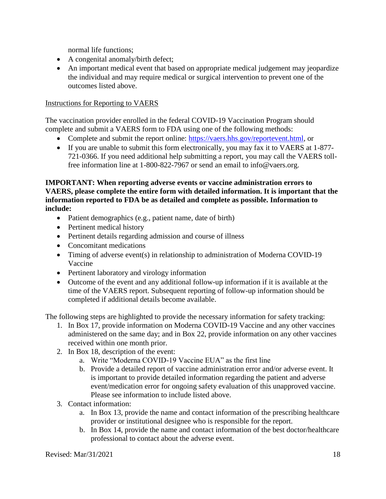normal life functions;

- A congenital anomaly/birth defect;
- An important medical event that based on appropriate medical judgement may jeopardize the individual and may require medical or surgical intervention to prevent one of the outcomes listed above.

### Instructions for Reporting to VAERS

The vaccination provider enrolled in the federal COVID-19 Vaccination Program should complete and submit a VAERS form to FDA using one of the following methods:

- Complete and submit the report online: https://vaers.hhs.gov/reportevent.html, or
- If you are unable to submit this form electronically, you may fax it to VAERS at 1-877- 721-0366. If you need additional help submitting a report, you may call the VAERS tollfree information line at 1-800-822-7967 or send an email to info@vaers.org.

**IMPORTANT: When reporting adverse events or vaccine administration errors to VAERS, please complete the entire form with detailed information. It is important that the information reported to FDA be as detailed and complete as possible. Information to include:**

- Patient demographics (e.g., patient name, date of birth)
- Pertinent medical history
- Pertinent details regarding admission and course of illness
- Concomitant medications
- Timing of adverse event(s) in relationship to administration of Moderna COVID-19 Vaccine
- Pertinent laboratory and virology information
- Outcome of the event and any additional follow-up information if it is available at the time of the VAERS report. Subsequent reporting of follow-up information should be completed if additional details become available.

The following steps are highlighted to provide the necessary information for safety tracking:

- 1. In Box 17, provide information on Moderna COVID-19 Vaccine and any other vaccines administered on the same day; and in Box 22, provide information on any other vaccines received within one month prior.
- 2. In Box 18, description of the event:
	- a. Write "Moderna COVID-19 Vaccine EUA" as the first line
	- b. Provide a detailed report of vaccine administration error and/or adverse event. It is important to provide detailed information regarding the patient and adverse event/medication error for ongoing safety evaluation of this unapproved vaccine. Please see information to include listed above.
- 3. Contact information:
	- a. In Box 13, provide the name and contact information of the prescribing healthcare provider or institutional designee who is responsible for the report.
	- b. In Box 14, provide the name and contact information of the best doctor/healthcare professional to contact about the adverse event.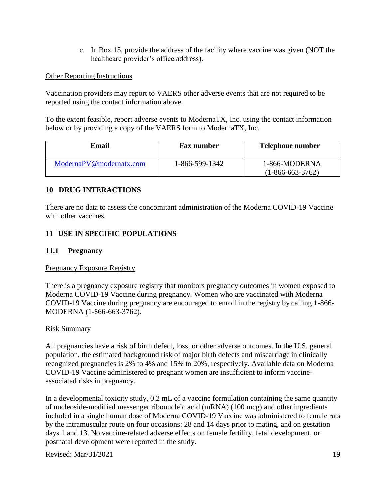c. In Box 15, provide the address of the facility where vaccine was given (NOT the healthcare provider's office address).

### Other Reporting Instructions

Vaccination providers may report to VAERS other adverse events that are not required to be reported using the contact information above.

To the extent feasible, report adverse events to ModernaTX, Inc. using the contact information below or by providing a copy of the VAERS form to ModernaTX, Inc.

| Email                   | <b>Fax number</b> | <b>Telephone number</b>             |
|-------------------------|-------------------|-------------------------------------|
| ModernaPV@modernatx.com | 1-866-599-1342    | 1-866-MODERNA<br>$(1-866-663-3762)$ |

### **10 DRUG INTERACTIONS**

There are no data to assess the concomitant administration of the Moderna COVID-19 Vaccine with other vaccines.

## **11 USE IN SPECIFIC POPULATIONS**

### **11.1 Pregnancy**

### Pregnancy Exposure Registry

There is a pregnancy exposure registry that monitors pregnancy outcomes in women exposed to Moderna COVID-19 Vaccine during pregnancy. Women who are vaccinated with Moderna COVID-19 Vaccine during pregnancy are encouraged to enroll in the registry by calling 1-866- MODERNA (1-866-663-3762).

### Risk Summary

All pregnancies have a risk of birth defect, loss, or other adverse outcomes. In the U.S. general population, the estimated background risk of major birth defects and miscarriage in clinically recognized pregnancies is 2% to 4% and 15% to 20%, respectively. Available data on Moderna COVID-19 Vaccine administered to pregnant women are insufficient to inform vaccineassociated risks in pregnancy.

In a developmental toxicity study, 0.2 mL of a vaccine formulation containing the same quantity of nucleoside-modified messenger ribonucleic acid (mRNA) (100 mcg) and other ingredients included in a single human dose of Moderna COVID-19 Vaccine was administered to female rats by the intramuscular route on four occasions: 28 and 14 days prior to mating, and on gestation days 1 and 13. No vaccine-related adverse effects on female fertility, fetal development, or postnatal development were reported in the study.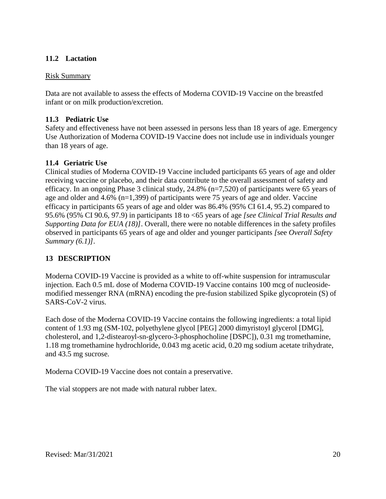## **11.2 Lactation**

### Risk Summary

Data are not available to assess the effects of Moderna COVID-19 Vaccine on the breastfed infant or on milk production/excretion.

## **11.3 Pediatric Use**

Safety and effectiveness have not been assessed in persons less than 18 years of age. Emergency Use Authorization of Moderna COVID-19 Vaccine does not include use in individuals younger than 18 years of age.

## **11.4 Geriatric Use**

Clinical studies of Moderna COVID-19 Vaccine included participants 65 years of age and older receiving vaccine or placebo, and their data contribute to the overall assessment of safety and efficacy. In an ongoing Phase 3 clinical study, 24.8% (n=7,520) of participants were 65 years of age and older and 4.6% (n=1,399) of participants were 75 years of age and older. Vaccine efficacy in participants 65 years of age and older was 86.4% (95% CI 61.4, 95.2) compared to 95.6% (95% CI 90.6, 97.9) in participants 18 to <65 years of age *[see Clinical Trial Results and Supporting Data for EUA (18)]*. Overall, there were no notable differences in the safety profiles observed in participants 65 years of age and older and younger participants *[*see *Overall Safety Summary (6.1)]*.

## **13 DESCRIPTION**

Moderna COVID-19 Vaccine is provided as a white to off-white suspension for intramuscular injection. Each 0.5 mL dose of Moderna COVID-19 Vaccine contains 100 mcg of nucleosidemodified messenger RNA (mRNA) encoding the pre-fusion stabilized Spike glycoprotein (S) of SARS-CoV-2 virus.

Each dose of the Moderna COVID-19 Vaccine contains the following ingredients: a total lipid content of 1.93 mg (SM-102, polyethylene glycol [PEG] 2000 dimyristoyl glycerol [DMG], cholesterol, and 1,2-distearoyl-sn-glycero-3-phosphocholine [DSPC]), 0.31 mg tromethamine, 1.18 mg tromethamine hydrochloride, 0.043 mg acetic acid, 0.20 mg sodium acetate trihydrate, and 43.5 mg sucrose.

Moderna COVID-19 Vaccine does not contain a preservative.

The vial stoppers are not made with natural rubber latex.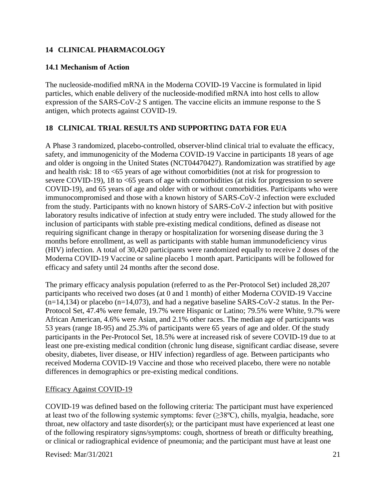## **14 CLINICAL PHARMACOLOGY**

## **14.1 Mechanism of Action**

The nucleoside-modified mRNA in the Moderna COVID-19 Vaccine is formulated in lipid particles, which enable delivery of the nucleoside-modified mRNA into host cells to allow expression of the SARS-CoV-2 S antigen. The vaccine elicits an immune response to the S antigen, which protects against COVID-19.

# **18 CLINICAL TRIAL RESULTS AND SUPPORTING DATA FOR EUA**

A Phase 3 randomized, placebo-controlled, observer-blind clinical trial to evaluate the efficacy, safety, and immunogenicity of the Moderna COVID-19 Vaccine in participants 18 years of age and older is ongoing in the United States (NCT04470427). Randomization was stratified by age and health risk: 18 to <65 years of age without comorbidities (not at risk for progression to severe COVID-19), 18 to <65 years of age with comorbidities (at risk for progression to severe COVID-19), and 65 years of age and older with or without comorbidities. Participants who were immunocompromised and those with a known history of SARS-CoV-2 infection were excluded from the study. Participants with no known history of SARS-CoV-2 infection but with positive laboratory results indicative of infection at study entry were included. The study allowed for the inclusion of participants with stable pre-existing medical conditions, defined as disease not requiring significant change in therapy or hospitalization for worsening disease during the 3 months before enrollment, as well as participants with stable human immunodeficiency virus (HIV) infection. A total of 30,420 participants were randomized equally to receive 2 doses of the Moderna COVID-19 Vaccine or saline placebo 1 month apart. Participants will be followed for efficacy and safety until 24 months after the second dose.

The primary efficacy analysis population (referred to as the Per-Protocol Set) included 28,207 participants who received two doses (at 0 and 1 month) of either Moderna COVID-19 Vaccine  $(n=14,134)$  or placebo  $(n=14,073)$ , and had a negative baseline SARS-CoV-2 status. In the Per-Protocol Set, 47.4% were female, 19.7% were Hispanic or Latino; 79.5% were White, 9.7% were African American, 4.6% were Asian, and 2.1% other races. The median age of participants was 53 years (range 18-95) and 25.3% of participants were 65 years of age and older. Of the study participants in the Per-Protocol Set, 18.5% were at increased risk of severe COVID-19 due to at least one pre-existing medical condition (chronic lung disease, significant cardiac disease, severe obesity, diabetes, liver disease, or HIV infection) regardless of age. Between participants who received Moderna COVID-19 Vaccine and those who received placebo, there were no notable differences in demographics or pre-existing medical conditions.

## Efficacy Against COVID-19

COVID-19 was defined based on the following criteria: The participant must have experienced at least two of the following systemic symptoms: fever  $(\geq 38^{\circ}C)$ , chills, myalgia, headache, sore throat, new olfactory and taste disorder(s); or the participant must have experienced at least one of the following respiratory signs/symptoms: cough, shortness of breath or difficulty breathing, or clinical or radiographical evidence of pneumonia; and the participant must have at least one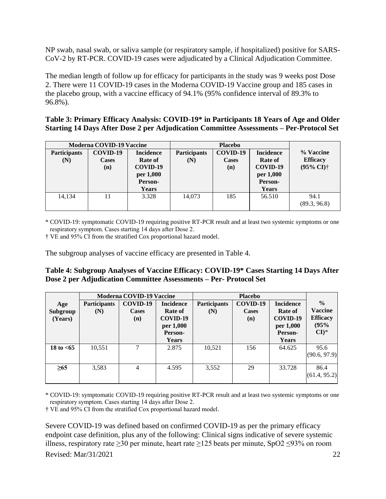NP swab, nasal swab, or saliva sample (or respiratory sample, if hospitalized) positive for SARS-CoV-2 by RT-PCR. COVID-19 cases were adjudicated by a Clinical Adjudication Committee.

The median length of follow up for efficacy for participants in the study was 9 weeks post Dose 2. There were 11 COVID-19 cases in the Moderna COVID-19 Vaccine group and 185 cases in the placebo group, with a vaccine efficacy of 94.1% (95% confidence interval of 89.3% to 96.8%).

| Table 3: Primary Efficacy Analysis: COVID-19* in Participants 18 Years of Age and Older |
|-----------------------------------------------------------------------------------------|
| Starting 14 Days After Dose 2 per Adjudication Committee Assessments - Per-Protocol Set |

| <b>Moderna COVID-19 Vaccine</b> |                          | <b>Placebo</b>              |                                                                                       |     |                              |                            |
|---------------------------------|--------------------------|-----------------------------|---------------------------------------------------------------------------------------|-----|------------------------------|----------------------------|
| <b>Participants</b><br>(N)      | COVID-19<br><b>Cases</b> | <b>Incidence</b><br>Rate of | COVID-19<br><b>Participants</b><br><b>Incidence</b><br>Rate of<br><b>Cases</b><br>(N) |     | % Vaccine<br><b>Efficacy</b> |                            |
|                                 | (n)                      | COVID-19                    |                                                                                       | (n) | COVID-19                     | $(95\% \text{ CI})\dagger$ |
|                                 |                          | per 1,000                   |                                                                                       |     | per 1,000                    |                            |
|                                 |                          | Person-                     |                                                                                       |     | Person-                      |                            |
|                                 |                          | Years                       |                                                                                       |     | <b>Years</b>                 |                            |
| 14,134                          | 11                       | 3.328                       | 14,073                                                                                | 185 | 56.510                       | 94.1<br>(89.3, 96.8)       |

\* COVID-19: symptomatic COVID-19 requiring positive RT-PCR result and at least two systemic symptoms or one respiratory symptom. Cases starting 14 days after Dose 2. 

† VE and 95% CI from the stratified Cox proportional hazard model.

The subgroup analyses of vaccine efficacy are presented in Table 4.

### **Table 4: Subgroup Analyses of Vaccine Efficacy: COVID-19\* Cases Starting 14 Days After Dose 2 per Adjudication Committee Assessments – Per- Protocol Set**

|                            |                            | <b>Moderna COVID-19 Vaccine</b> |                                                                                 |                            | <b>Placebo</b>           |                                                                                 |                                                                                 |
|----------------------------|----------------------------|---------------------------------|---------------------------------------------------------------------------------|----------------------------|--------------------------|---------------------------------------------------------------------------------|---------------------------------------------------------------------------------|
| Age<br>Subgroup<br>(Years) | <b>Participants</b><br>(N) | COVID-19<br>Cases<br>(n)        | <b>Incidence</b><br>Rate of<br>COVID-19<br>per 1,000<br>Person-<br><b>Years</b> | <b>Participants</b><br>(N) | COVID-19<br>Cases<br>(n) | <b>Incidence</b><br><b>Rate of</b><br>COVID-19<br>per 1,000<br>Person-<br>Years | $\frac{0}{0}$<br><b>Vaccine</b><br><b>Efficacy</b><br>(95%<br>$CI$ <sup>*</sup> |
| 18 to $<$ 65               | 10,551                     |                                 | 2.875                                                                           | 10,521                     | 156                      | 64.625                                                                          | 95.6<br>(90.6, 97.9)                                                            |
| $\geq 65$                  | 3,583                      | 4                               | 4.595                                                                           | 3,552                      | 29                       | 33.728                                                                          | 86.4<br>(61.4, 95.2)                                                            |

\* COVID-19: symptomatic COVID-19 requiring positive RT-PCR result and at least two systemic symptoms or one respiratory symptom. Cases starting 14 days after Dose 2.

† VE and 95% CI from the stratified Cox proportional hazard model.

Severe COVID-19 was defined based on confirmed COVID-19 as per the primary efficacy endpoint case definition, plus any of the following: Clinical signs indicative of severe systemic illness, respiratory rate ≥30 per minute, heart rate ≥125 beats per minute, SpO2 ≤93% on room

Revised: Mar/31/2021 22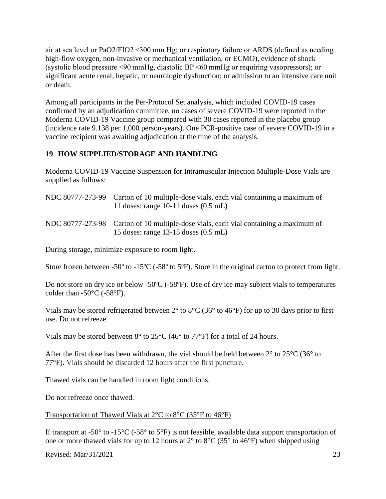air at sea level or PaO2/FIO2 <300 mm Hg; or respiratory failure or ARDS (defined as needing high-flow oxygen, non-invasive or mechanical ventilation, or ECMO), evidence of shock (systolic blood pressure <90 mmHg, diastolic BP <60 mmHg or requiring vasopressors); or significant acute renal, hepatic, or neurologic dysfunction; or admission to an intensive care unit or death.

Among all participants in the Per-Protocol Set analysis, which included COVID-19 cases confirmed by an adjudication committee, no cases of severe COVID-19 were reported in the Moderna COVID-19 Vaccine group compared with 30 cases reported in the placebo group (incidence rate 9.138 per 1,000 person-years). One PCR-positive case of severe COVID-19 in a vaccine recipient was awaiting adjudication at the time of the analysis.

## **19 HOW SUPPLIED/STORAGE AND HANDLING**

Moderna COVID-19 Vaccine Suspension for Intramuscular Injection Multiple-Dose Vials are supplied as follows:

| NDC 80777-273-99 Carton of 10 multiple-dose vials, each vial containing a maximum of<br>11 doses: range 10-11 doses $(0.5 \text{ mL})$ |
|----------------------------------------------------------------------------------------------------------------------------------------|
| NDC 80777-273-98 Carton of 10 multiple-dose vials, each vial containing a maximum of<br>15 doses: range $13-15$ doses $(0.5$ mL)       |

During storage, minimize exposure to room light.

Store frozen between -50<sup>°</sup> to -15<sup>°</sup>C (-58<sup>°</sup> to 5<sup>°</sup>F). Store in the original carton to protect from light.

Do not store on dry ice or below -50°C (-58°F). Use of dry ice may subject vials to temperatures colder than  $-50^{\circ}$ C ( $-58^{\circ}$ F).

Vials may be stored refrigerated between 2° to 8°C (36° to 46°F) for up to 30 days prior to first use. Do not refreeze.

Vials may be stored between  $8^{\circ}$  to  $25^{\circ}$ C (46 $^{\circ}$  to 77 $^{\circ}$ F) for a total of 24 hours.

After the first dose has been withdrawn, the vial should be held between  $2^{\circ}$  to  $25^{\circ}$ C (36 $^{\circ}$  to 77°F). Vials should be discarded 12 hours after the first puncture.

Thawed vials can be handled in room light conditions.

Do not refreeze once thawed.

### Transportation of Thawed Vials at 2°C to 8°C (35°F to 46°F)

If transport at -50 $^{\circ}$  to -15 $^{\circ}$ C (-58 $^{\circ}$  to 5 $^{\circ}$ F) is not feasible, available data support transportation of one or more thawed vials for up to 12 hours at 2° to 8°C (35° to 46°F) when shipped using

Revised: Mar/31/2021 23